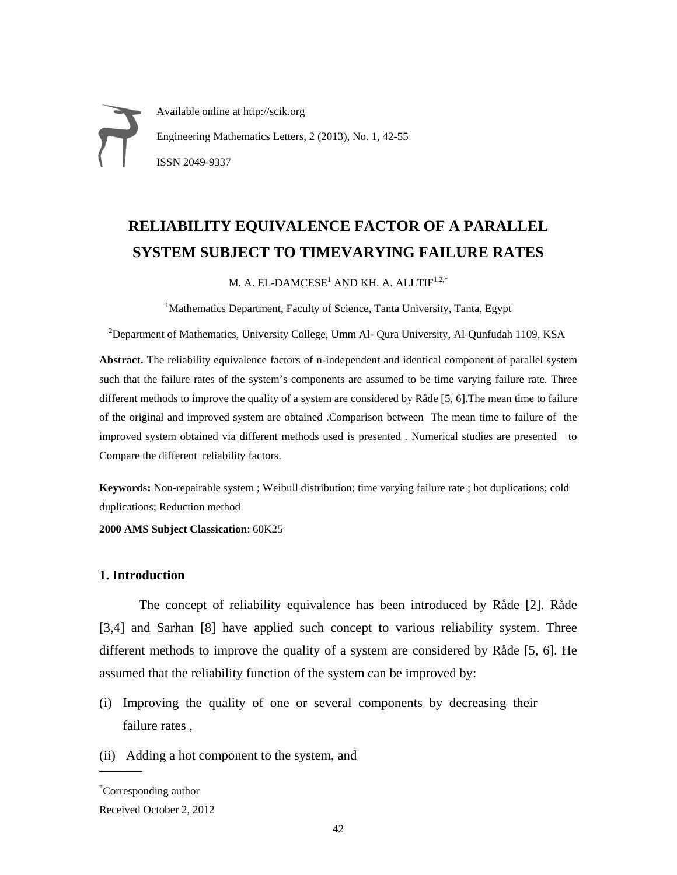Available online at http://scik.org Engineering Mathematics Letters, 2 (2013), No. 1, 42-55 ISSN 2049-9337

# **RELIABILITY EQUIVALENCE FACTOR OF A PARALLEL SYSTEM SUBJECT TO TIMEVARYING FAILURE RATES**

M. A. EL-DAMCESE<sup>1</sup> AND KH. A. ALLTIF<sup>1,2,\*</sup>

<sup>1</sup>Mathematics Department, Faculty of Science, Tanta University, Tanta, Egypt

<sup>2</sup>Department of Mathematics, University College, Umm Al- Qura University, Al-Qunfudah 1109, KSA

**Abstract.** The reliability equivalence factors of n-independent and identical component of parallel system such that the failure rates of the system's components are assumed to be time varying failure rate. Three different methods to improve the quality of a system are considered by Råde [5, 6].The mean time to failure of the original and improved system are obtained .Comparison between The mean time to failure of the improved system obtained via different methods used is presented . Numerical studies are presented to Compare the different reliability factors.

**Keywords:** Non-repairable system ; Weibull distribution; time varying failure rate ; hot duplications; cold duplications; Reduction method

**2000 AMS Subject Classication**: 60K25

# **1. Introduction**

The concept of reliability equivalence has been introduced by Råde [2]. Råde [3,4] and Sarhan [8] have applied such concept to various reliability system. Three different methods to improve the quality of a system are considered by Råde [5, 6]. He assumed that the reliability function of the system can be improved by:

- (i) Improving the quality of one or several components by decreasing their failure rates ,
- (ii) Adding a hot component to the system, and

 $\overline{\phantom{a}}$ 

<sup>\*</sup> Corresponding author

Received October 2, 2012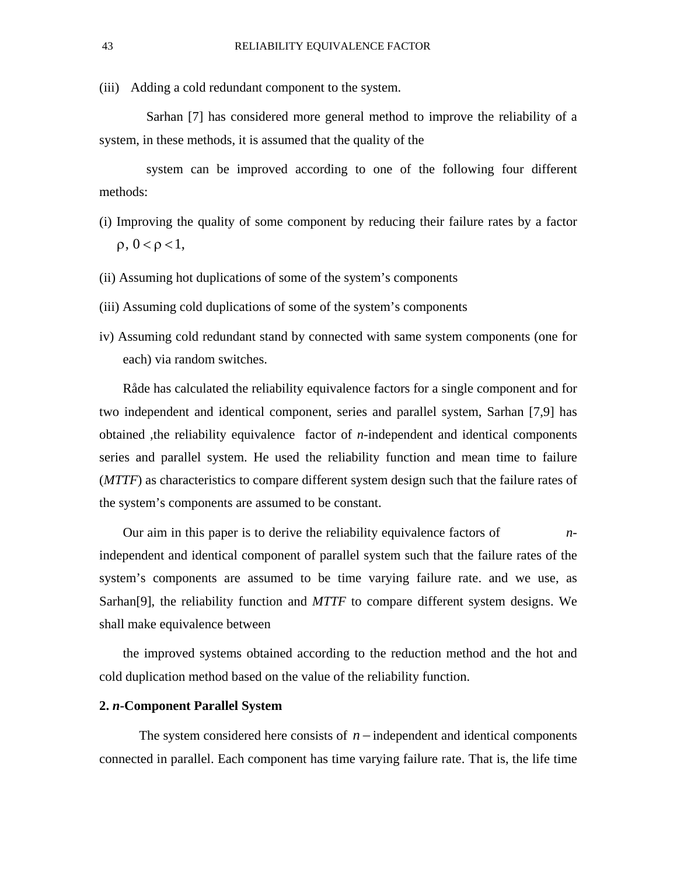(iii) Adding a cold redundant component to the system.

Sarhan [7] has considered more general method to improve the reliability of a system, in these methods, it is assumed that the quality of the

system can be improved according to one of the following four different methods:

- (i) Improving the quality of some component by reducing their failure rates by a factor  $ρ, 0 < ρ < 1,$
- (ii) Assuming hot duplications of some of the system's components
- (iii) Assuming cold duplications of some of the system's components
- iv) Assuming cold redundant stand by connected with same system components (one for each) via random switches.

Råde has calculated the reliability equivalence factors for a single component and for two independent and identical component, series and parallel system, Sarhan [7,9] has obtained ,the reliability equivalence factor of *n*-independent and identical components series and parallel system. He used the reliability function and mean time to failure (*MTTF*) as characteristics to compare different system design such that the failure rates of the system's components are assumed to be constant.

Our aim in this paper is to derive the reliability equivalence factors of *n*independent and identical component of parallel system such that the failure rates of the system's components are assumed to be time varying failure rate. and we use, as Sarhan[9], the reliability function and *MTTF* to compare different system designs. We shall make equivalence between

the improved systems obtained according to the reduction method and the hot and cold duplication method based on the value of the reliability function.

# **2.** *n***-Component Parallel System**

The system considered here consists of  $n$  – independent and identical components connected in parallel. Each component has time varying failure rate. That is, the life time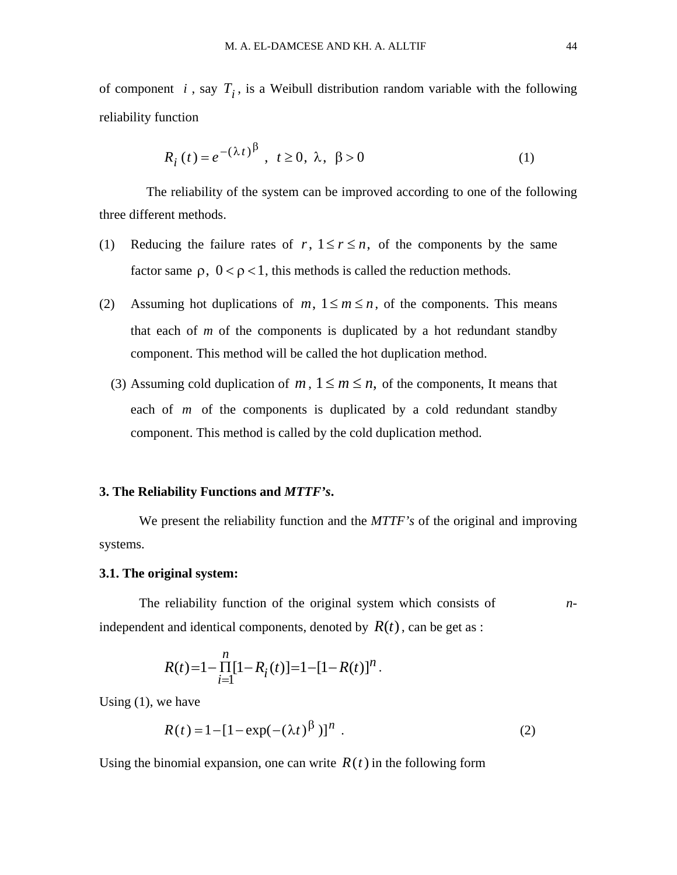of component *i*, say  $T_i$ , is a Weibull distribution random variable with the following reliability function

$$
R_i(t) = e^{-(\lambda t)^{\beta}}, \quad t \ge 0, \quad \lambda, \quad \beta > 0
$$
 (1)

The reliability of the system can be improved according to one of the following three different methods.

- (1) Reducing the failure rates of  $r, 1 \le r \le n$ , of the components by the same factor same  $\rho$ ,  $0 < \rho < 1$ , this methods is called the reduction methods.
- (2) Assuming hot duplications of  $m, 1 \le m \le n$ , of the components. This means that each of *m* of the components is duplicated by a hot redundant standby component. This method will be called the hot duplication method.
	- (3) Assuming cold duplication of *m*,  $1 \le m \le n$ , of the components, It means that each of *m* of the components is duplicated by a cold redundant standby component. This method is called by the cold duplication method.

#### **3. The Reliability Functions and** *MTTF's***.**

We present the reliability function and the *MTTF's* of the original and improving systems.

### **3.1. The original system:**

The reliability function of the original system which consists of *n*independent and identical components, denoted by  $R(t)$ , can be get as :

$$
R(t)=1-\prod_{i=1}^n[1-R_i(t)]=1-[1-R(t)]^n.
$$

Using (1), we have

$$
R(t) = 1 - [1 - \exp(-(\lambda t)^{\beta})]^n
$$
 (2)

Using the binomial expansion, one can write  $R(t)$  in the following form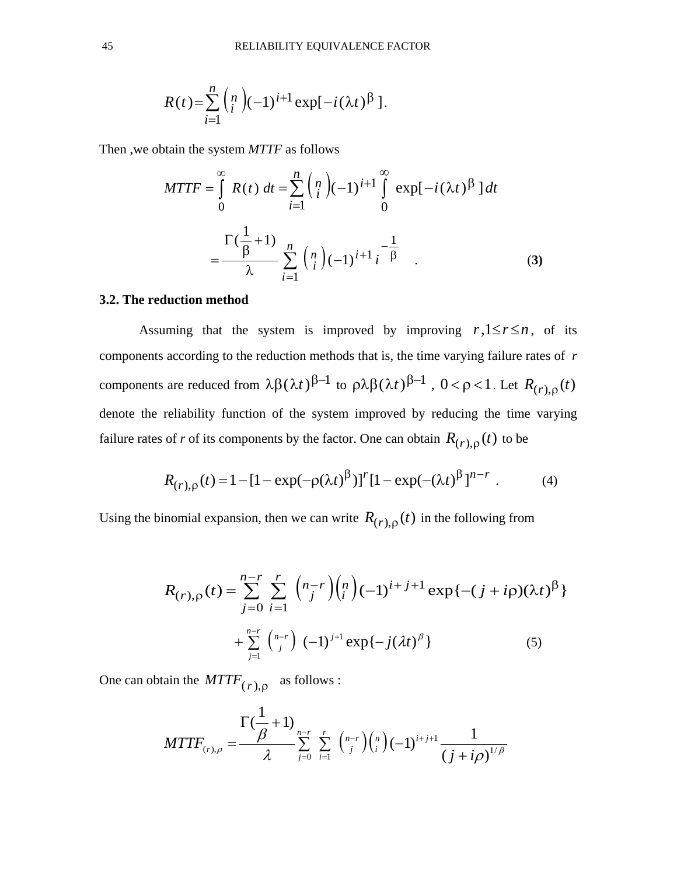$$
R(t) = \sum_{i=1}^{n} {n \choose i} (-1)^{i+1} \exp[-i(\lambda t)^{\beta}].
$$

Then ,we obtain the system *MTTF* as follows

$$
MTTF = \int_{0}^{\infty} R(t) dt = \sum_{i=1}^{n} {n \choose i} (-1)^{i+1} \int_{0}^{\infty} \exp[-i(\lambda t)^{\beta}] dt
$$
  
= 
$$
\frac{\Gamma(\frac{1}{\beta} + 1)}{\lambda} \sum_{i=1}^{n} {n \choose i} (-1)^{i+1} i^{-\frac{1}{\beta}}.
$$
 (3)

# **3.2. The reduction method**

Assuming that the system is improved by improving  $r, 1 \le r \le n$ , of its components according to the reduction methods that is, the time varying failure rates of *r* components are reduced from  $\lambda \beta (\lambda t)^{\beta-1}$  to  $\rho \lambda \beta (\lambda t)^{\beta-1}$ ,  $0 < \rho < 1$ . Let  $R_{(r),\rho}(t)$ denote the reliability function of the system improved by reducing the time varying failure rates of *r* of its components by the factor. One can obtain  $R_{(r),\rho}(t)$  to be

$$
R_{(r),\rho}(t) = 1 - [1 - \exp(-\rho(\lambda t)^{\beta})]^r [1 - \exp(-(\lambda t)^{\beta}]^{n-r} . \tag{4}
$$

Using the binomial expansion, then we can write  $R_{(r),\rho}(t)$  in the following from

$$
R_{(r),\rho}(t) = \sum_{j=0}^{n-r} \sum_{i=1}^{r} {n-r \choose j} {n \choose i} (-1)^{i+j+1} \exp\{-(j+i\rho)(\lambda t)^{\beta}\}\n+ \sum_{j=1}^{n-r} {n-r \choose j} (-1)^{j+1} \exp\{-j(\lambda t)^{\beta}\}\n\tag{5}
$$

One can obtain the  $MTTF_{(r),\rho}$  as follows :

$$
MTTF_{(r),\rho} = \frac{\Gamma(\frac{1}{\beta}+1)}{\lambda} \sum_{j=0}^{n-r} \sum_{i=1}^r {n-r \choose j} {n \choose i} (-1)^{i+j+1} \frac{1}{(j+i\rho)^{1/\beta}}
$$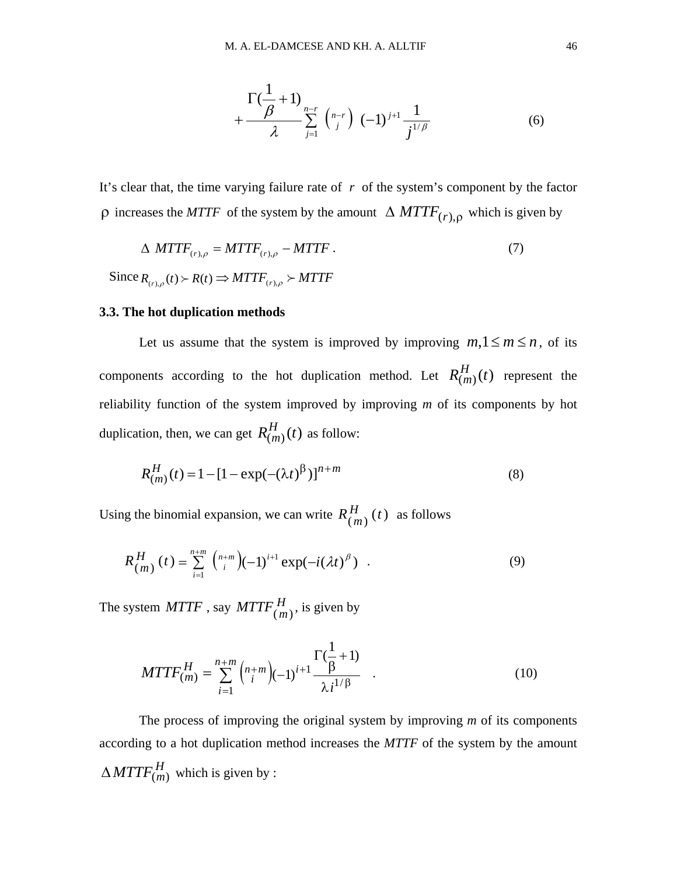$$
+\frac{\Gamma(\frac{1}{\beta}+1)}{\lambda} \sum_{j=1}^{n-r} \binom{n-r}{j} (-1)^{j+1} \frac{1}{j^{1/\beta}}
$$
(6)

It's clear that, the time varying failure rate of *r* of the system's component by the factor ρ increases the *MTTF* of the system by the amount ∆ *MTTF*(*r*),<sup>ρ</sup> which is given by

$$
\Delta \, \, \text{MTTF}_{(r),\rho} = \text{MTTF}_{(r),\rho} - \text{MTTF} \, . \tag{7}
$$
\n
$$
\text{Since } R_{(r),\rho}(t) \succ R(t) \Rightarrow \text{MTTF}_{(r),\rho} \succ \text{MTTF}
$$

### **3.3. The hot duplication methods**

Let us assume that the system is improved by improving  $m, 1 \le m \le n$ , of its components according to the hot duplication method. Let  $R_{(m)}^H(t)$  represent the reliability function of the system improved by improving *m* of its components by hot duplication, then, we can get  $R_{(m)}^H(t)$  as follow:

$$
R_{(m)}^{H}(t) = 1 - [1 - \exp(-(\lambda t)^{\beta})]^{n+m}
$$
\n(8)

Using the binomial expansion, we can write  $R_{(m)}^{H}(t)$  as follows

$$
R_{(m)}^{H}(t) = \sum_{i=1}^{n+m} {n+m \choose i} (-1)^{i+1} \exp(-i(\lambda t)^{\beta}) . \qquad (9)
$$

The system  $MTTF$  , say  $MTTF\frac{H}{(m)}$ , is given by

$$
MTTF_{(m)}^{H} = \sum_{i=1}^{n+m} {n+m \choose i} (-1)^{i+1} \frac{\Gamma(\frac{1}{\beta}+1)}{\lambda i^{1/\beta}} \quad . \tag{10}
$$

The process of improving the original system by improving *m* of its components according to a hot duplication method increases the *MTTF* of the system by the amount  $\Delta M T T F_{(m)}^H$  which is given by :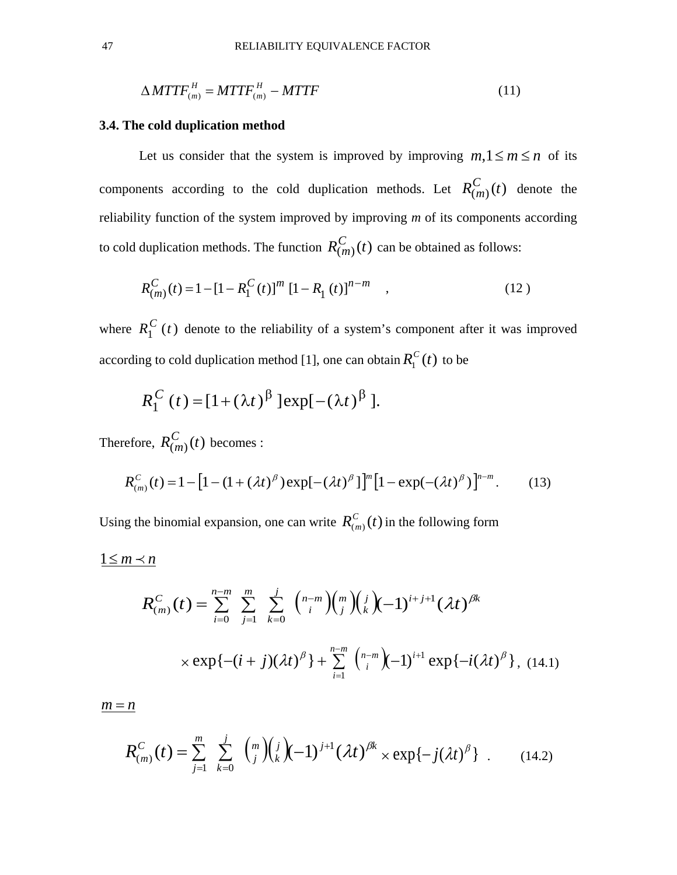$$
\Delta M T T F_{(m)}^H = M T T F_{(m)}^H - M T T F \tag{11}
$$

### **3.4. The cold duplication method**

Let us consider that the system is improved by improving  $m, 1 \le m \le n$  of its components according to the cold duplication methods. Let  $R_{(m)}^C(t)$  denote the reliability function of the system improved by improving *m* of its components according to cold duplication methods. The function  $R_{(m)}^{C}(t)$  can be obtained as follows:

$$
R_{(m)}^{C}(t) = 1 - [1 - R_{1}^{C}(t)]^{m} [1 - R_{1}(t)]^{n-m} , \qquad (12)
$$

where  $R_1^C(t)$  denote to the reliability of a system's component after it was improved according to cold duplication method [1], one can obtain  $R_1^C(t)$  to be

$$
R_1^C(t) = [1+(\lambda t)^{\beta}] \exp[-(\lambda t)^{\beta}].
$$

Therefore,  $R_{(m)}^{C}(t)$  becomes :

$$
R_{(m)}^{C}(t) = 1 - \left[1 - \left(1 + (\lambda t)^{\beta}\right) \exp[-(\lambda t)^{\beta}] \right]^{m} \left[1 - \exp(-(\lambda t)^{\beta})\right]^{n-m}.
$$
 (13)

Using the binomial expansion, one can write  $R_{(m)}^C(t)$  in the following form

$$
1 \leq m \prec n
$$

$$
R_{(m)}^{C}(t) = \sum_{i=0}^{n-m} \sum_{j=1}^{m} \sum_{k=0}^{j} {n-m \choose i} {n \choose j} {j \choose k} (-1)^{i+j+1} (\lambda t)^{\beta k}
$$
  
×  $\exp\{-(i+j)(\lambda t)^{\beta}\} + \sum_{i=1}^{n-m} {n-m \choose i} (-1)^{i+1} \exp\{-i(\lambda t)^{\beta}\},$  (14.1)

 $m = n$ 

$$
R_{(m)}^{C}(t) = \sum_{j=1}^{m} \sum_{k=0}^{j} {m \choose j} {j \choose k} (-1)^{j+1} (\lambda t)^{\beta k} \times \exp\{-j(\lambda t)^{\beta}\} . \qquad (14.2)
$$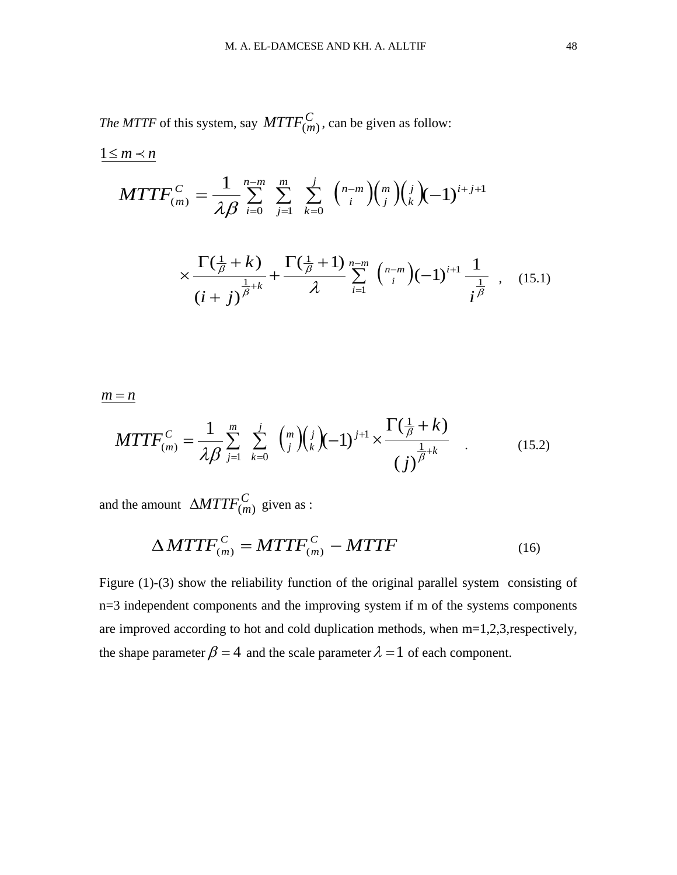*The MTTF* of this system, say  $MTTF_{(m)}^C$ , can be given as follow:

$$
MTTF_{(m)}^{C} = \frac{1}{\lambda \beta} \sum_{i=0}^{n-m} \sum_{j=1}^{m} \sum_{k=0}^{j} {n-m \choose i} {m \choose j} {j \choose k} (-1)^{i+j+1}
$$

$$
\Gamma(\frac{1}{\beta} + k) \prod_{j=0}^{n} {j \choose j} {n-m \choose k} {j \choose k} (-1)^{i+j+1}
$$

$$
\times \frac{\Gamma(\frac{1}{\beta}+k)}{(i+j)^{\frac{1}{\beta}+k}} + \frac{\Gamma(\frac{1}{\beta}+1)}{\lambda} \sum_{i=1}^{n-m} {n-m \choose i} (-1)^{i+1} \frac{1}{i^{\frac{1}{\beta}}}, \quad (15.1)
$$

 $m = n$ 

 $1 \leq m \leq n$ 

$$
MTTF_{(m)}^{C} = \frac{1}{\lambda \beta} \sum_{j=1}^{m} \sum_{k=0}^{j} {m \choose j} {j \choose k} (-1)^{j+1} \times \frac{\Gamma(\frac{1}{\beta} + k)}{(j)^{\frac{1}{\beta} + k}} \quad . \tag{15.2}
$$

and the amount  $\triangle M T T F_{(m)}^C$  given as :

$$
\Delta M T T F_{(m)}^C = M T T F_{(m)}^C - M T T F \qquad (16)
$$

Figure (1)-(3) show the reliability function of the original parallel system consisting of n=3 independent components and the improving system if m of the systems components are improved according to hot and cold duplication methods, when m=1,2,3,respectively, the shape parameter  $\beta = 4$  and the scale parameter  $\lambda = 1$  of each component.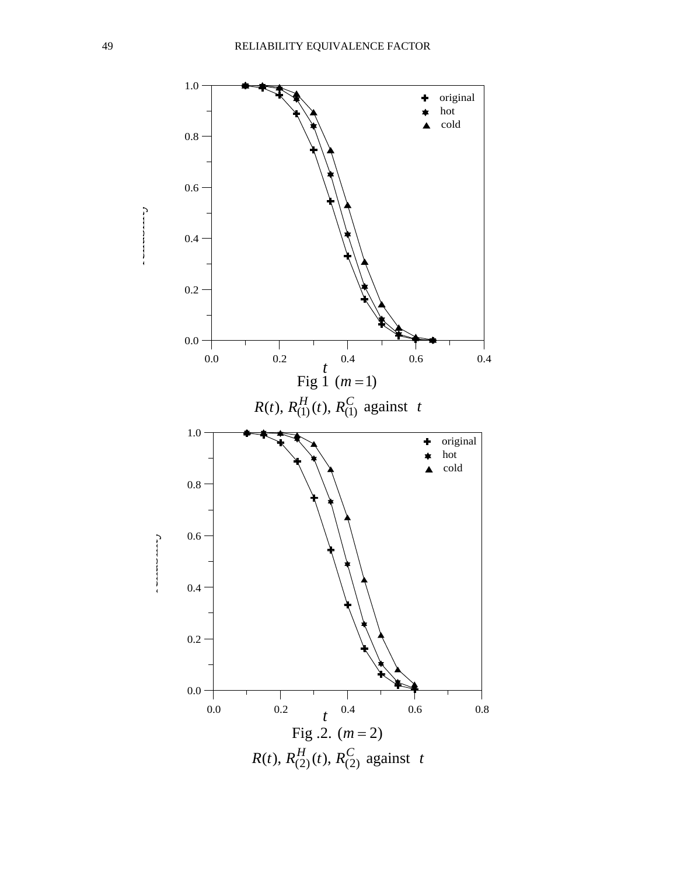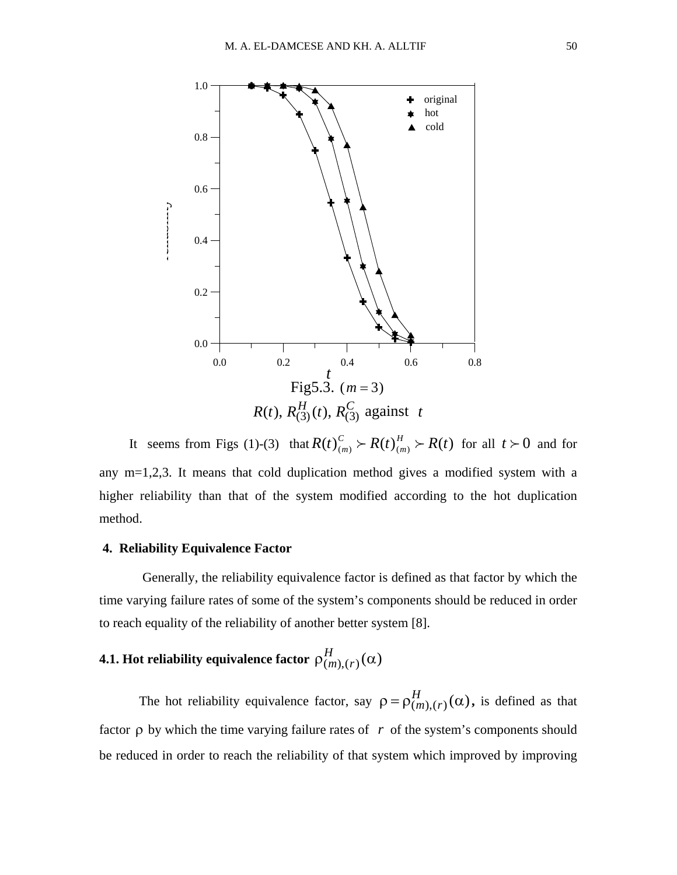

It seems from Figs (1)-(3) that  $R(t)_{(m)}^C > R(t)_{(m)}^H > R(t)$  $C$ <sub>*m*</sub>  $\succ R(t)$ <sup>*H*</sup> *m*  $\succ R(t)$  for all  $t \succ 0$  and for any m=1,2,3. It means that cold duplication method gives a modified system with a higher reliability than that of the system modified according to the hot duplication method.

# **4. Reliability Equivalence Factor**

Generally, the reliability equivalence factor is defined as that factor by which the time varying failure rates of some of the system's components should be reduced in order to reach equality of the reliability of another better system [8].

# **4.1. Hot reliability equivalence factor**  $\rho_{(m),(r)}^{H}(\alpha)$

The hot reliability equivalence factor, say  $\rho = \rho_{(m), (r)}^H(\alpha)$ , is defined as that factor  $\rho$  by which the time varying failure rates of  $r$  of the system's components should be reduced in order to reach the reliability of that system which improved by improving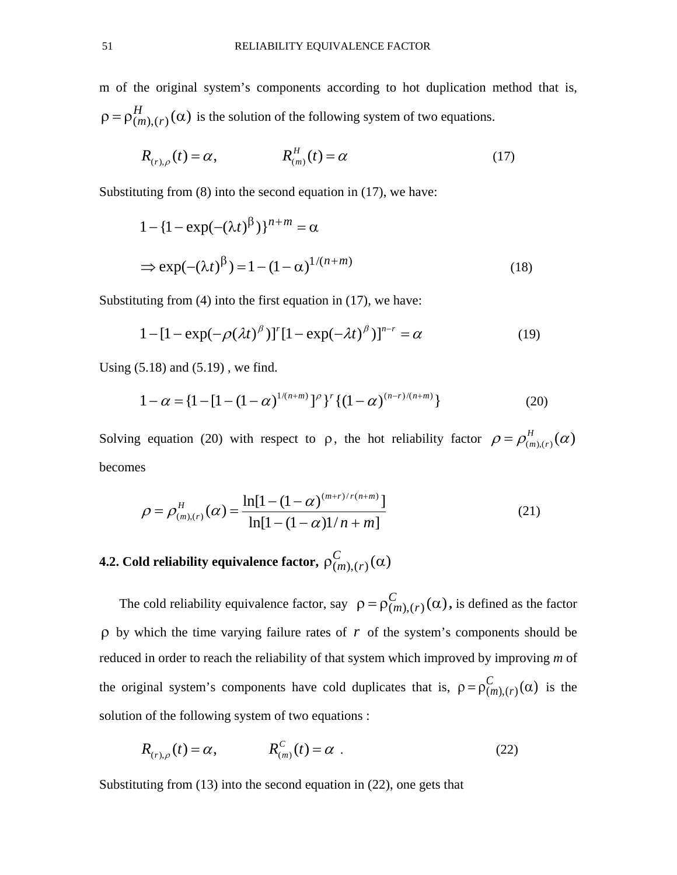m of the original system's components according to hot duplication method that is,  $\rho = \rho_{(m),(r)}^H(\alpha)$  is the solution of the following system of two equations.

$$
R_{(r),\rho}(t) = \alpha, \qquad R_{(m)}^H(t) = \alpha \qquad (17)
$$

Substituting from (8) into the second equation in (17), we have:

$$
1 - \left\{1 - \exp(-(\lambda t)^{\beta})\right\}^{n+m} = \alpha
$$
  
\n
$$
\Rightarrow \exp(-(\lambda t)^{\beta}) = 1 - (1 - \alpha)^{1/(n+m)}
$$
\n(18)

Substituting from (4) into the first equation in (17), we have:

$$
1 - [1 - \exp(-\rho(\lambda t)^{\beta})]^r [1 - \exp(-\lambda t)^{\beta}]^{n-r} = \alpha
$$
 (19)

Using (5.18) and (5.19) , we find.

$$
1 - \alpha = \left\{1 - \left[1 - \left(1 - \alpha\right)^{1/(n+m)}\right]^\rho\right\}^r \left\{(1 - \alpha)^{(n-r)/(n+m)}\right\} \tag{20}
$$

Solving equation (20) with respect to  $\rho$ , the hot reliability factor  $\rho = \rho_{(m),(r)}^H(\alpha)$ becomes

$$
\rho = \rho_{(m),(r)}^{H}(\alpha) = \frac{\ln[1 - (1 - \alpha)^{(m+r)/r(n+m)}]}{\ln[1 - (1 - \alpha)]/n + m]}
$$
\n(21)

**4.2.** Cold reliability equivalence factor,  $\rho_{(m),(r)}^{C}(\alpha)$ 

The cold reliability equivalence factor, say  $\rho = \rho_{(m),(\gamma)}^C(\alpha)$ , is defined as the factor ρ by which the time varying failure rates of *r* of the system's components should be reduced in order to reach the reliability of that system which improved by improving *m* of the original system's components have cold duplicates that is,  $\rho = \rho_{(m),(r)}^C(\alpha)$  is the solution of the following system of two equations :

$$
R_{(r),\rho}(t) = \alpha, \qquad R_{(m)}^C(t) = \alpha \tag{22}
$$

Substituting from (13) into the second equation in (22), one gets that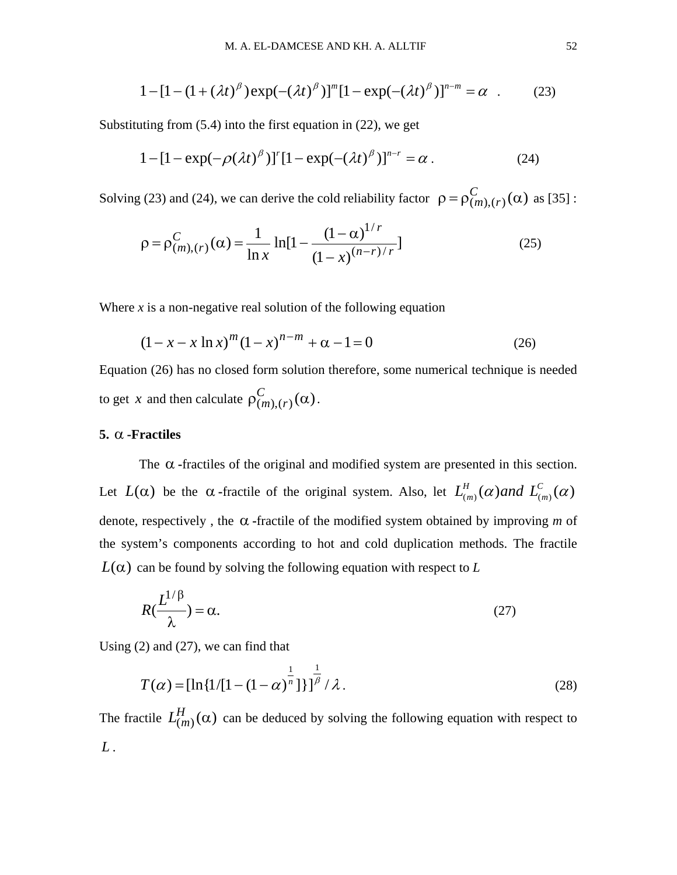$$
1 - [1 - (1 + (\lambda t)^{\beta}) \exp(-(\lambda t)^{\beta})]^m [1 - \exp(-(\lambda t)^{\beta})]^{n-m} = \alpha
$$
 (23)

Substituting from (5.4) into the first equation in (22), we get

$$
1 - [1 - \exp(-\rho(\lambda t)^{\beta})]^{r} [1 - \exp(-(\lambda t)^{\beta})]^{n-r} = \alpha.
$$
 (24)

Solving (23) and (24), we can derive the cold reliability factor  $\rho = \rho_{(m), (r)}^C(\alpha)$  as [35]:

$$
\rho = \rho_{(m),(r)}^C(\alpha) = \frac{1}{\ln x} \ln[1 - \frac{(1-\alpha)^{1/r}}{(1-x)^{(n-r)/r}}]
$$
(25)

Where  $x$  is a non-negative real solution of the following equation

$$
(1 - x - x \ln x)^m (1 - x)^{n - m} + \alpha - 1 = 0
$$
 (26)

Equation (26) has no closed form solution therefore, some numerical technique is needed to get *x* and then calculate  $\rho_{(m),(r)}^C(\alpha)$ .

# **5.** α **-Fractiles**

The  $\alpha$ -fractiles of the original and modified system are presented in this section. Let  $L(\alpha)$  be the  $\alpha$ -fractile of the original system. Also, let  $L^H_{(m)}(\alpha)$  and  $L^C_{(m)}(\alpha)$ denote, respectively , the α **-**fractile of the modified system obtained by improving *m* of the system's components according to hot and cold duplication methods. The fractile  $L(\alpha)$  can be found by solving the following equation with respect to *L* 

$$
R(\frac{L^{1/\beta}}{\lambda}) = \alpha.
$$
 (27)

Using (2) and (27), we can find that

$$
T(\alpha) = \left[\ln\left\{1/[1-(1-\alpha)^{\frac{1}{n}}\right]\right\}\right]^{\frac{1}{\beta}} / \lambda.
$$
 (28)

The fractile  $L_{(m)}^{H}(\alpha)$  can be deduced by solving the following equation with respect to *L* .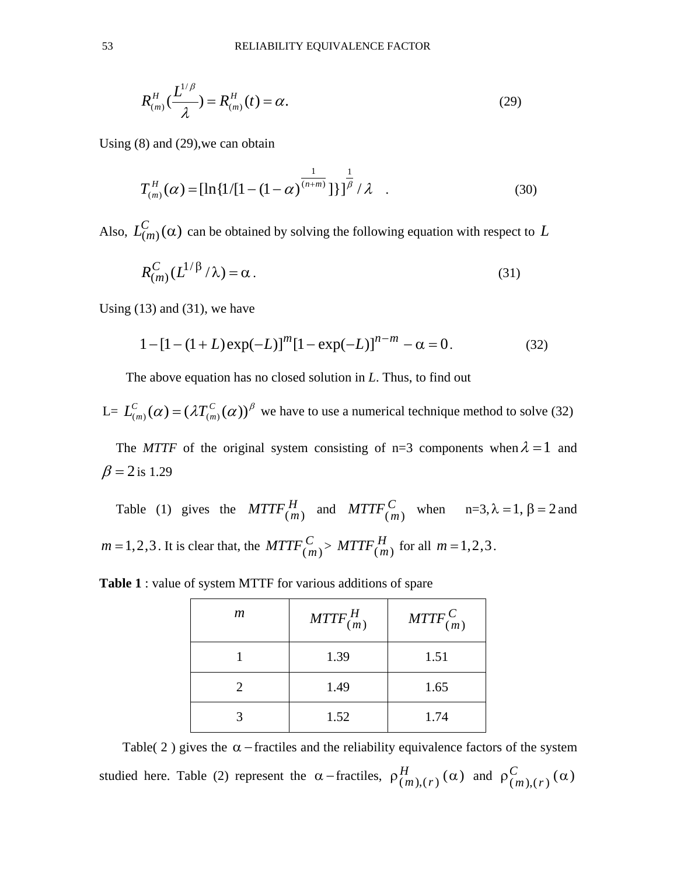$$
R_{(m)}^{H}(\frac{L^{1/\beta}}{\lambda}) = R_{(m)}^{H}(t) = \alpha.
$$
 (29)

Using (8) and (29),we can obtain

$$
T_{(m)}^{H}(\alpha) = \left[\ln\left\{1/[1-(1-\alpha)^{\frac{1}{(n+m)}}\right]\right\}\right]^{\frac{1}{\beta}}/\lambda \quad . \tag{30}
$$

Also,  $L_{(m)}^{C}(\alpha)$  can be obtained by solving the following equation with respect to L

$$
R_{(m)}^{C}(L^{1/\beta}/\lambda) = \alpha.
$$
 (31)

Using  $(13)$  and  $(31)$ , we have

$$
1 - [1 - (1 + L)\exp(-L)]^{m} [1 - \exp(-L)]^{n-m} - \alpha = 0.
$$
 (32)

The above equation has no closed solution in *L*. Thus, to find out

L=  $L^C_{(m)}(\alpha) = (\lambda T^C_{(m)}(\alpha))^{\beta}$  $L_{(m)}^{C}(\alpha) = (\lambda T_{(m)}^{C}(\alpha))^{\beta}$  we have to use a numerical technique method to solve (32)

The *MTTF* of the original system consisting of n=3 components when  $\lambda = 1$  and  $β = 2$  is 1.29

Table (1) gives the  $MTTF_{(m)}^H$  and  $MTTF_{(m)}^C$  when  $n=3, \lambda=1, \beta=2$  and  $m = 1, 2, 3$ . It is clear that, the  $MTTF_{(m)}^C > MTTF_{(m)}^H$  for all  $m = 1, 2, 3$ .

| $\mathfrak{m}$ | $MTTF_{(m)}^H$ | $MTTF_{(m)}^C$ |
|----------------|----------------|----------------|
|                | 1.39           | 1.51           |
|                | 1.49           | 1.65           |
|                | 1.52           | 1.74           |

**Table 1** : value of system MTTF for various additions of spare

Table( 2 ) gives the  $\alpha$  –fractiles and the reliability equivalence factors of the system studied here. Table (2) represent the  $\alpha$ -fractiles,  $\rho_{(m),(r)}^H(\alpha)$  and  $\rho_{(m),(r)}^C(\alpha)$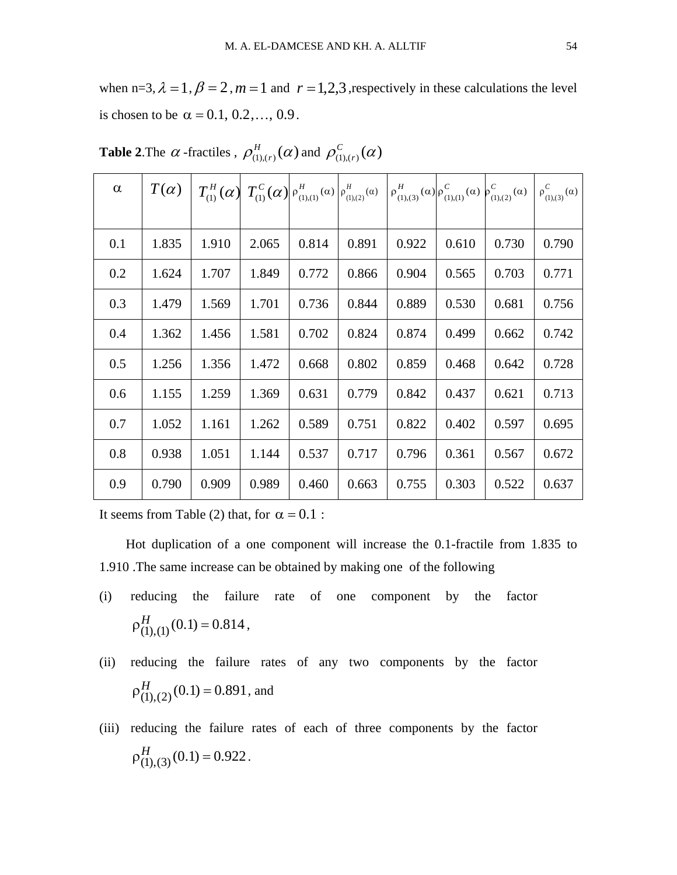when n=3,  $\lambda = 1$ ,  $\beta = 2$ ,  $m = 1$  and  $r = 1,2,3$ , respectively in these calculations the level is chosen to be  $\alpha = 0.1, 0.2, ..., 0.9$ .

| $\alpha$ | $T(\alpha)$ |       |       |       |       | $T_{(1)}^H(\alpha) T_{(1)}^C(\alpha) P_{(1),(1)}^H(\alpha) P_{(1),(2)}^H(\alpha) P_{(1),(3)}^H(\alpha) P_{(1),(1)}^C(\alpha) P_{(1),(2)}^C(\alpha)$ |       |       | $\rho_{(1),(3)}^{C}(\alpha)$ |
|----------|-------------|-------|-------|-------|-------|-----------------------------------------------------------------------------------------------------------------------------------------------------|-------|-------|------------------------------|
|          |             |       |       |       |       |                                                                                                                                                     |       |       |                              |
| 0.1      | 1.835       | 1.910 | 2.065 | 0.814 | 0.891 | 0.922                                                                                                                                               | 0.610 | 0.730 | 0.790                        |
| 0.2      | 1.624       | 1.707 | 1.849 | 0.772 | 0.866 | 0.904                                                                                                                                               | 0.565 | 0.703 | 0.771                        |
| 0.3      | 1.479       | 1.569 | 1.701 | 0.736 | 0.844 | 0.889                                                                                                                                               | 0.530 | 0.681 | 0.756                        |
| 0.4      | 1.362       | 1.456 | 1.581 | 0.702 | 0.824 | 0.874                                                                                                                                               | 0.499 | 0.662 | 0.742                        |
| 0.5      | 1.256       | 1.356 | 1.472 | 0.668 | 0.802 | 0.859                                                                                                                                               | 0.468 | 0.642 | 0.728                        |
| 0.6      | 1.155       | 1.259 | 1.369 | 0.631 | 0.779 | 0.842                                                                                                                                               | 0.437 | 0.621 | 0.713                        |
| 0.7      | 1.052       | 1.161 | 1.262 | 0.589 | 0.751 | 0.822                                                                                                                                               | 0.402 | 0.597 | 0.695                        |
| 0.8      | 0.938       | 1.051 | 1.144 | 0.537 | 0.717 | 0.796                                                                                                                                               | 0.361 | 0.567 | 0.672                        |
| 0.9      | 0.790       | 0.909 | 0.989 | 0.460 | 0.663 | 0.755                                                                                                                                               | 0.303 | 0.522 | 0.637                        |

**Table 2.** The  $\alpha$  -fractiles ,  $\rho_{(1),(r)}^{H}(\alpha)$  and  $\rho_{(1),(r)}^{C}(\alpha)$ 

It seems from Table (2) that, for  $\alpha = 0.1$ :

 Hot duplication of a one component will increase the 0.1-fractile from 1.835 to 1.910 .The same increase can be obtained by making one of the following

- (i) reducing the failure rate of one component by the factor  $\rho_{(1),(1)}^H(0.1) = 0.814$ ,
- (ii) reducing the failure rates of any two components by the factor  $\rho_{(1),(2)}^H(0.1) = 0.891$ , and
- (iii) reducing the failure rates of each of three components by the factor  $\rho_{(1),(3)}^H(0.1) = 0.922$ .